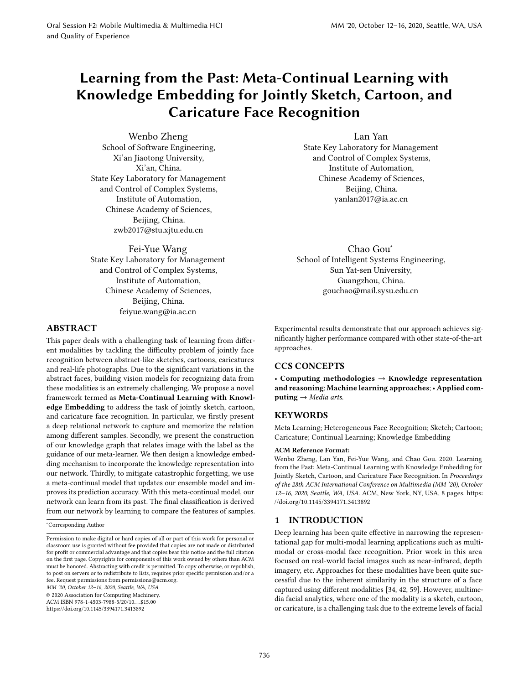# Learning from the Past: Meta-Continual Learning with Knowledge Embedding for Jointly Sketch, Cartoon, and Caricature Face Recognition

Wenbo Zheng School of Software Engineering, Xi'an Jiaotong University, Xi'an, China. State Key Laboratory for Management and Control of Complex Systems, Institute of Automation, Chinese Academy of Sciences, Beijing, China. zwb2017@stu.xjtu.edu.cn

Fei-Yue Wang State Key Laboratory for Management and Control of Complex Systems, Institute of Automation, Chinese Academy of Sciences, Beijing, China. feiyue.wang@ia.ac.cn

# ABSTRACT

This paper deals with a challenging task of learning from different modalities by tackling the difficulty problem of jointly face recognition between abstract-like sketches, cartoons, caricatures and real-life photographs. Due to the significant variations in the abstract faces, building vision models for recognizing data from these modalities is an extremely challenging. We propose a novel framework termed as Meta-Continual Learning with Knowledge Embedding to address the task of jointly sketch, cartoon, and caricature face recognition. In particular, we firstly present a deep relational network to capture and memorize the relation among different samples. Secondly, we present the construction of our knowledge graph that relates image with the label as the guidance of our meta-learner. We then design a knowledge embedding mechanism to incorporate the knowledge representation into our network. Thirdly, to mitigate catastrophic forgetting, we use a meta-continual model that updates our ensemble model and improves its prediction accuracy. With this meta-continual model, our network can learn from its past. The final classification is derived from our network by learning to compare the features of samples.

<sup>∗</sup>Corresponding Author

MM '20, October 12-16, 2020, Seattle, WA, USA

© 2020 Association for Computing Machinery.

ACM ISBN 978-1-4503-7988-5/20/10. . . \$15.00

https://doi.org/10.1145/3394171.3413892

Lan Yan State Key Laboratory for Management and Control of Complex Systems, Institute of Automation, Chinese Academy of Sciences, Beijing, China. yanlan2017@ia.ac.cn

Chao Gou<sup>∗</sup> School of Intelligent Systems Engineering, Sun Yat-sen University, Guangzhou, China. gouchao@mail.sysu.edu.cn

Experimental results demonstrate that our approach achieves significantly higher performance compared with other state-of-the-art approaches.

# CCS CONCEPTS

• Computing methodologies  $\rightarrow$  Knowledge representation and reasoning; Machine learning approaches; · Applied computing  $\rightarrow$  Media arts.

## **KEYWORDS**

Meta Learning; Heterogeneous Face Recognition; Sketch; Cartoon; Caricature; Continual Learning; Knowledge Embedding

#### ACM Reference Format:

Wenbo Zheng, Lan Yan, Fei-Yue Wang, and Chao Gou. 2020. Learning from the Past: Meta-Continual Learning with Knowledge Embedding for Jointly Sketch, Cartoon, and Caricature Face Recognition. In Proceedings of the 28th ACM International Conference on Multimedia (MM '20), October 12-16, 2020, Seattle, WA, USA. ACM, New York, NY, USA, 8 pages. https: //doi.org/10.1145/3394171.3413892

# 1 INTRODUCTION

Deep learning has been quite effective in narrowing the representational gap for multi-modal learning applications such as multimodal or cross-modal face recognition. Prior work in this area focused on real-world facial images such as near-infrared, depth imagery, etc. Approaches for these modalities have been quite successful due to the inherent similarity in the structure of a face captured using different modalities [34, 42, 59]. However, multimedia facial analytics, where one of the modality is a sketch, cartoon, or caricature, is a challenging task due to the extreme levels of facial

Permission to make digital or hard copies of all or part of this work for personal or classroom use is granted without fee provided that copies are not made or distributed for profit or commercial advantage and that copies bear this notice and the full citation on the first page. Copyrights for components of this work owned by others than ACM must be honored. Abstracting with credit is permitted. To copy otherwise, or republish, to post on servers or to redistribute to lists, requires prior specific permission and/or a fee. Request permissions from permissions@acm.org.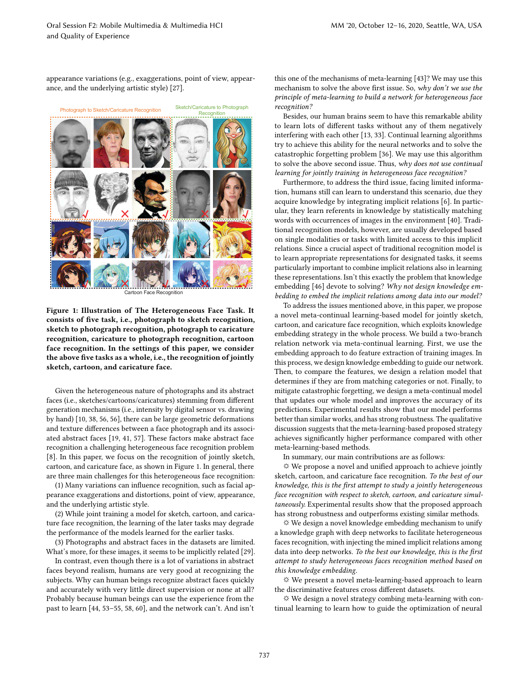appearance variations (e.g., exaggerations, point of view, appearance, and the underlying artistic style) [27].

ĸ h ĸ h ĸ Cartoon Face Recognition

Figure 1: Illustration of The Heterogeneous Face Task. It consists of five task, i.e., photograph to sketch recognition, sketch to photograph recognition, photograph to caricature recognition, caricature to photograph recognition, cartoon face recognition. In the settings of this paper, we consider the above five tasks as a whole, i.e., the recognition of jointly sketch, cartoon, and caricature face.

Given the heterogeneous nature of photographs and its abstract faces (i.e., sketches/cartoons/caricatures) stemming from different generation mechanisms (i.e., intensity by digital sensor vs. drawing by hand) [10, 38, 56, 56], there can be large geometric deformations and texture differences between a face photograph and its associated abstract faces [19, 41, 57]. These factors make abstract face recognition a challenging heterogeneous face recognition problem [8]. In this paper, we focus on the recognition of jointly sketch, cartoon, and caricature face, as shown in Figure 1. In general, there are three main challenges for this heterogeneous face recognition:

(1) Many variations can influence recognition, such as facial appearance exaggerations and distortions, point of view, appearance, and the underlying artistic style.

(2) While joint training a model for sketch, cartoon, and caricature face recognition, the learning of the later tasks may degrade the performance of the models learned for the earlier tasks.

(3) Photographs and abstract faces in the datasets are limited. What's more, for these images, it seems to be implicitly related [29].

In contrast, even though there is a lot of variations in abstract faces beyond realism, humans are very good at recognizing the subjects. Why can human beings recognize abstract faces quickly and accurately with very little direct supervision or none at all? Probably because human beings can use the experience from the past to learn [44, 53-55, 58, 60], and the network can't. And isn't this one of the mechanisms of meta-learning [43]? We may use this mechanism to solve the above first issue. So, why don't we use the principle of meta-learning to build a network for heterogeneous face recognition?

Besides, our human brains seem to have this remarkable ability to learn lots of different tasks without any of them negatively interfering with each other [13, 33]. Continual learning algorithms try to achieve this ability for the neural networks and to solve the catastrophic forgetting problem [36]. We may use this algorithm to solve the above second issue. Thus, why does not use continual learning for jointly training in heterogeneous face recognition?

Furthermore, to address the third issue, facing limited information, humans still can learn to understand this scenario, due they acquire knowledge by integrating implicit relations [6]. In particular, they learn referents in knowledge by statistically matching words with occurrences of images in the environment [40]. Traditional recognition models, however, are usually developed based on single modalities or tasks with limited access to this implicit relations. Since a crucial aspect of traditional recognition model is to learn appropriate representations for designated tasks, it seems particularly important to combine implicit relations also in learning these representations. Isn't this exactly the problem that knowledge embedding [46] devote to solving? Why not design knowledge embedding to embed the implicit relations among data into our model?

To address the issues mentioned above, in this paper, we propose a novel meta-continual learning-based model for jointly sketch, cartoon, and caricature face recognition, which exploits knowledge embedding strategy in the whole process. We build a two-branch relation network via meta-continual learning. First, we use the embedding approach to do feature extraction of training images. In this process, we design knowledge embedding to guide our network. Then, to compare the features, we design a relation model that determines if they are from matching categories or not. Finally, to mitigate catastrophic forgetting, we design a meta-continual model that updates our whole model and improves the accuracy of its predictions. Experimental results show that our model performs better than similar works, and has strong robustness. The qualitative discussion suggests that the meta-learning-based proposed strategy achieves significantly higher performance compared with other meta-learning-based methods.

In summary, our main contributions are as follows:

 $\Leftrightarrow$  We propose a novel and unified approach to achieve jointly sketch, cartoon, and caricature face recognition. To the best of our knowledge, this is the first attempt to study a jointly heterogeneous face recognition with respect to sketch, cartoon, and caricature simultaneously. Experimental results show that the proposed approach has strong robustness and outperforms existing similar methods.

☼ We design a novel knowledge embedding mechanism to unify a knowledge graph with deep networks to facilitate heterogeneous faces recognition, with injecting the mined implicit relations among data into deep networks. To the best our knowledge, this is the first attempt to study heterogeneous faces recognition method based on this knowledge embedding.

☼ We present a novel meta-learning-based approach to learn the discriminative features cross different datasets.

☼ We design a novel strategy combing meta-learning with continual learning to learn how to guide the optimization of neural

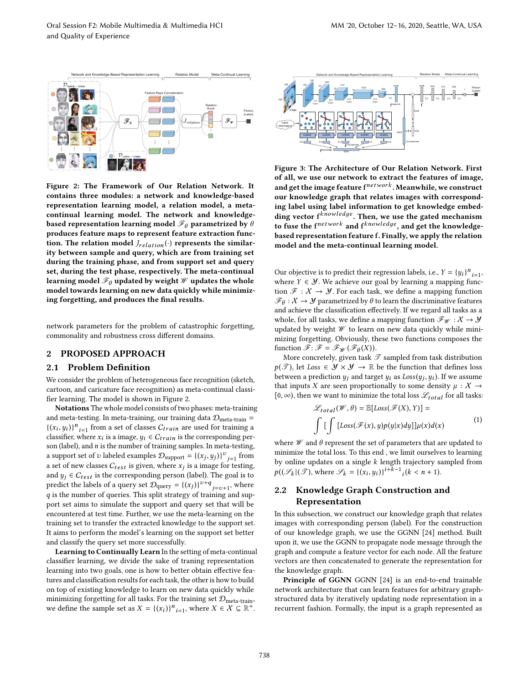

Figure 2: The Framework of Our Relation Network. It contains three modules: a network and knowledge-based representation learning model, a relation model, a metacontinual learning model. The network and knowledgebased representation learning model  $\mathscr{F}_{\theta}$  parametrized by  $\theta$ produces feature maps to represent feature extraction function. The relation model  $J_{relation}(\cdot)$  represents the similarity between sample and query, which are from training set during the training phase, and from support set and query set, during the test phase, respectively. The meta-continual learning model  $\mathcal{F}_{\theta}$  updated by weight  $\mathcal W$  updates the whole model towards learning on new data quickly while minimizing forgetting, and produces the final results.

network parameters for the problem of catastrophic forgetting, commonality and robustness cross different domains.

# 2 PROPOSED APPROACH

### 2.1 Problem Definition

We consider the problem of heterogeneous face recognition (sketch, cartoon, and caricature face recognition) as meta-continual classifier learning. The model is shown in Figure 2.

Notations The whole model consists of two phases: meta-training and meta-testing. In meta-training, our training data  $\mathcal{D}_{meta-train}$  =  $\{(x_i, y_i)\}_{i=1}^n$  from a set of classes  $C_{train}$  are used for training a classifier, where  $x_i$  is a image,  $y_i \in C_{train}$  is the corresponding person (label), and  $n$  is the number of training samples. In meta-testing, a support set of v labeled examples  $\mathcal{D}_{\text{support}} = \{(x_j, y_j)\}^v_{j=1}$  from a set of new classes  $C_{test}$  is given, where  $x_j$  is a image for testing, and  $y_i \in C_{test}$  is the corresponding person (label). The goal is to predict the labels of a query set  $D_{query} = \{(x_j)\}^{v+q}$  j=v+1, where  $q$  is the number of queries. This split strategy of training and support set aims to simulate the support and query set that will be encountered at test time. Further, we use the meta-learning on the training set to transfer the extracted knowledge to the support set. It aims to perform the model's learning on the support set better and classify the query set more successfully.

Learning to Continually Learn In the setting of meta-continual classifier learning, we divide the sake of traning representation learning into two goals, one is how to better obtain effective features and classification results for each task, the other is how to build on top of existing knowledge to learn on new data quickly while minimizing forgetting for all tasks. For the training set  $\mathcal{D}_{\rm meta-train},$ we define the sample set as  $X = \{(x_i)\}_{i=1}^n$ , where  $X \in \mathcal{X} \subseteq \mathbb{R}^+$ .



Figure 3: The Architecture of Our Relation Network. First of all, we use our network to extract the features of image, and get the image feature f $^{network}$  . Meanwhile, we construct our knowledge graph that relates images with corresponding label using label information to get knowledge embedding vector  $f^{knowledge}$ . Then, we use the gated mechanism to fuse the  ${\mathbf f}^{network}$  and  ${\mathbf f}^{knowledge},$  and get the knowledgebased representation feature f. Finally, we apply the relation model and the meta-continual learning model.

Our objective is to predict their regression labels, i.e.,  $Y = \{y_i\}^n_{i=1}$ , where  $Y \in \mathcal{Y}$ . We achieve our goal by learning a mapping function  $\mathcal{F} : \mathcal{X} \to \mathcal{Y}$ . For each task, we define a mapping function  $\mathscr{F}_{\theta}:\mathcal{X}\rightarrow\mathcal{Y}$  parametrized by  $\theta$  to learn the discriminative features and achieve the classification effectively. If we regard all tasks as a whole, for all tasks, we define a mapping function  $\mathscr{F}_{\mathscr{W}}:\mathcal{X}\rightarrow\mathcal{Y}$ updated by weight  $W$  to learn on new data quickly while minimizing forgetting. Obviously, these two functions composes the function  $\mathscr{F}$ :  $\mathscr{F} = \mathscr{F}_{\mathscr{W}}(\mathscr{F}_{\theta}(X))$ .

More concretely, given task  $\mathscr T$  sampled from task distribution  $p(\mathscr{T})$ , let Loss  $\in \mathscr{Y} \times \mathscr{Y} \to \mathbb{R}$  be the function that defines loss between a prediction  $y_j$  and target  $y_i$  as  $Loss(y_j, y_i)$ . If we assume that inputs X are seen proportionally to some density  $\mu : X \rightarrow$ [0,  $\infty$ ), then we want to minimize the total loss  $\mathscr{L}_{total}$  for all tasks:

$$
\mathcal{L}_{total}(\mathcal{W}, \theta) = \mathbb{E}[Loss(\mathcal{F}(X), Y)] =
$$
  

$$
\int \left[ \int [Loss(\mathcal{F}(x), y)p(y|x)dy] \right] \mu(x)d(x)
$$
 (1)

where  $\mathcal W$  and  $\theta$  represent the set of parameters that are updated to minimize the total loss. To this end , we limit ourselves to learning by online updates on a single  $k$  length trajectory sampled from  $p((\mathscr{S}_k | (\mathscr{T}), \text{where } \mathscr{S}_k = \{(x_i, y_i)\}^{i+k-1}$   $(k < n+1)$ .

# 2.2 Knowledge Graph Construction and Representation

In this subsection, we construct our knowledge graph that relates images with corresponding person (label). For the construction of our knowledge graph, we use the GGNN [24] method. Built upon it, we use the GGNN to propagate node message through the graph and compute a feature vector for each node. All the feature vectors are then concatenated to generate the representation for the knowledge graph.

Principle of GGNN GGNN [24] is an end-to-end trainable network architecture that can learn features for arbitrary graphstructured data by iteratively updating node representation in a recurrent fashion. Formally, the input is a graph represented as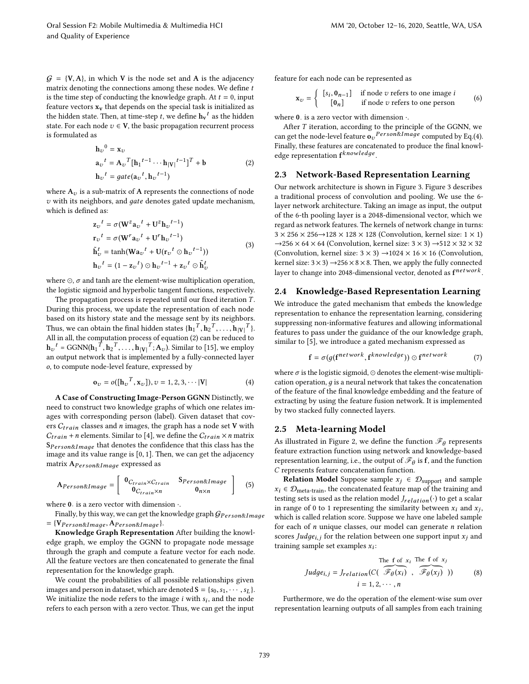$G = \{V, A\}$ , in which V is the node set and A is the adjacency matrix denoting the connections among these nodes. We define t is the time step of conducting the knowledge graph. At  $t = 0$ , input feature vectors  $x_v$  that depends on the special task is initialized as the hidden state. Then, at time-step  $t$ , we define  $\mathbf{h_v}^t$  as the hidden state. For each node  $v \in V$ , the basic propagation recurrent process is formulated as

$$
\begin{aligned} \mathbf{h}_{\upsilon}{}^{0} &= \mathbf{x}_{\upsilon} \\ \mathbf{a}_{\upsilon}{}^{t} &= \mathbf{A}_{\upsilon}{}^{T}[\mathbf{h}_{1}{}^{t-1} \cdots \mathbf{h}_{|\mathbf{V}|}{}^{t-1}]^{T} + \mathbf{b} \\ \mathbf{h}_{\upsilon}{}^{t} &= gate(\mathbf{a}_{\upsilon}{}^{t}, \mathbf{h}_{\upsilon}{}^{t-1}) \end{aligned} \tag{2}
$$

where  $A_v$  is a sub-matrix of A represents the connections of node  $v$  with its neighbors, and *qate* denotes gated update mechanism, which is defined as:

$$
\mathbf{z}_{v}^{t} = \sigma(\mathbf{W}^{z} \mathbf{a}_{v}^{t} + \mathbf{U}^{z} \mathbf{h}_{v}^{t-1})
$$
  
\n
$$
\mathbf{r}_{v}^{t} = \sigma(\mathbf{W}^{r} \mathbf{a}_{v}^{t} + \mathbf{U}^{r} \mathbf{h}_{v}^{t-1})
$$
  
\n
$$
\tilde{\mathbf{h}}_{v}^{t} = \tanh(\mathbf{W} \mathbf{a}_{v}^{t} + \mathbf{U}(\mathbf{r}_{v}^{t} \odot \mathbf{h}_{v}^{t-1}))
$$
  
\n
$$
\mathbf{h}_{v}^{t} = (1 - \mathbf{z}_{v}^{t}) \odot \mathbf{h}_{v}^{t-1} + \mathbf{z}_{v}^{t} \odot \tilde{\mathbf{h}}_{v}^{t}
$$
\n(3)

where  $\odot$ ,  $\sigma$  and tanh are the element-wise multiplication operation, the logistic sigmoid and hyperbolic tangent functions, respectively.

The propagation process is repeated until our fixed iteration T. During this process, we update the representation of each node based on its history state and the message sent by its neighbors. Thus, we can obtain the final hidden states  $\{ {\bf h_1}^T, {\bf h_2}^T, \ldots, {\bf h_{|V|}}^T \}.$ All in all, the computation process of equation (2) can be reduced to  $\mathbf{h}_{\upsilon}{}^{t}$  = GGNN( $\mathbf{h}_{1}{}^{T}, \mathbf{h}_{2}{}^{T}, \ldots, \mathbf{h}_{|\mathbf{V}|}{}^{T}; \mathbf{A}_{\upsilon}$ ). Similar to [15], we employ an output network that is implemented by a fully-connected layer o, to compute node-level feature, expressed by

$$
\mathbf{o}_{v} = o([\mathbf{h}_{v}^{T}, \mathbf{x}_{v}]), v = 1, 2, 3, \cdots |\mathbf{V}|
$$
 (4)

A Case of Constructing Image-Person GGNN Distinctly, we need to construct two knowledge graphs of which one relates images with corresponding person (label). Given dataset that covers  $C_{train}$  classes and *n* images, the graph has a node set V with  $C_{train}$  + *n* elements. Similar to [4], we define the  $C_{train} \times n$  matrix  $S_{Person\&Image}$  that denotes the confidence that this class has the image and its value range is [0, 1]. Then, we can get the adjacency matrix  $A_{Person\&Image}$  expressed as

$$
A_{Person\&Image} = \left[ \begin{array}{cc} \mathbf{0}_{C_{train} \times C_{train}} & \mathbf{S}_{Person\&Image} \\ \mathbf{0}_{C_{train} \times n} & \mathbf{0}_{n \times n} \end{array} \right] \tag{5}
$$

where  $0$  is a zero vector with dimension  $\cdot$ .

Finally, by this way, we can get the knowledge graph  $\mathcal{G}_{Person\&Image}$  $= \{V_{Person\&Image}, A_{Person\&Image}\}.$ 

Knowledge Graph Representation After building the knowledge graph, we employ the GGNN to propagate node message through the graph and compute a feature vector for each node. All the feature vectors are then concatenated to generate the final representation for the knowledge graph.

We count the probabilities of all possible relationships given images and person in dataset, which are denoted  $S = \{s_0, s_1, \dots, s_L\}$ . We initialize the node refers to the image  $i$  with  $s_i$ , and the node refers to each person with a zero vector. Thus, we can get the input

feature for each node can be represented as

$$
\mathbf{x}_{v} = \begin{cases} [s_{i}, \mathbf{0}_{n-1}] & \text{if node } v \text{ refers to one image } i \\ [0_{n}] & \text{if node } v \text{ refers to one person} \end{cases}
$$
 (6)

where  $0$ . is a zero vector with dimension  $\cdot$ .

After  $T$  iteration, according to the principle of the GGNN, we can get the node-level feature  $\mathbf{o}_v{}^{Person\&Image}$  computed by Eq.(4). Finally, these features are concatenated to produce the final knowledge representation f<sup>knowledge</sup>.

## 2.3 Network-Based Representation Learning

Our network architecture is shown in Figure 3. Figure 3 describes a traditional process of convolution and pooling. We use the 6 layer network architecture. Taking an image as input, the output of the 6-th pooling layer is a 2048-dimensional vector, which we regard as network features. The kernels of network change in turns:  $3 \times 256 \times 256 \rightarrow 128 \times 128 \times 128$  (Convolution, kernel size:  $1 \times 1$ )  $\rightarrow$  256  $\times$  64  $\times$  64 (Convolution, kernel size: 3  $\times$  3)  $\rightarrow$  512  $\times$  32  $\times$  32 (Convolution, kernel size:  $3 \times 3$ )  $\rightarrow$  1024  $\times$  16  $\times$  16 (Convolution, kernel size:  $3 \times 3$ )  $\rightarrow$  256  $\times$  8  $\times$  8. Then, we apply the fully connected layer to change into 2048-dimensional vector, denoted as  ${\bf f}^{network}.$ 

# 2.4 Knowledge-Based Representation Learning

We introduce the gated mechanism that embeds the knowledge representation to enhance the representation learning, considering suppressing non-informative features and allowing informational features to pass under the guidance of the our knowledge graph, similar to [5], we introduce a gated mechanism expressed as

$$
\mathbf{f} = \sigma(g(\mathbf{f}^{network}, \mathbf{f}^{knowledge})) \odot \mathbf{f}^{network} \tag{7}
$$

where  $\sigma$  is the logistic sigmoid,  $\odot$  denotes the element-wise multiplication operation,  $q$  is a neural network that takes the concatenation of the feature of the final knowledge embedding and the feature of extracting by using the feature fusion network. It is implemented by two stacked fully connected layers.

#### 2.5 Meta-learning Model

As illustrated in Figure 2, we define the function  $\mathscr{F}_{\theta}$  represents feature extraction function using network and knowledge-based representation learning, i.e., the output of  $\mathscr{F}_{\theta}$  is  $\mathbf{f}$ , and the function C represents feature concatenation function.

**Relation Model** Suppose sample  $x_j \in \mathcal{D}_{support}$  and sample  $x_i \in \mathcal{D}_{meta-train}$ , the concatenated feature map of the training and testing sets is used as the relation model  $J_{relation}(\cdot)$  to get a scalar in range of 0 to 1 representing the similarity between  $x_i$  and  $x_j$ , which is called relation score. Suppose we have one labeled sample for each of  $n$  unique classes, our model can generate  $n$  relation scores Judge<sub>i,j</sub> for the relation between one support input  $x_j$  and training sample set examples  $x_i$ :

The f of 
$$
x_i
$$
 The f of  $x_j$   
\n
$$
Judge_{i,j} = J_{relation}(C(\overbrace{\mathcal{F}_{\theta}(x_i)}^{\mathcal{F}_{\theta}(x_i)}, \overbrace{\mathcal{F}_{\theta}(x_j)}^{\mathcal{F}_{\theta}(x_j)}))
$$
\n
$$
i = 1, 2, \cdots, n
$$
\n(8)

Furthermore, we do the operation of the element-wise sum over representation learning outputs of all samples from each training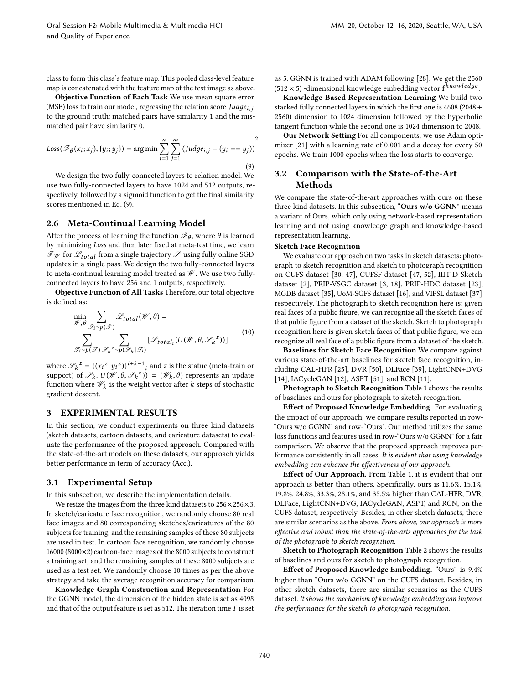class to form this class's feature map. This pooled class-level feature map is concatenated with the feature map of the test image as above.

Objective Function of Each Task We use mean square error (MSE) loss to train our model, regressing the relation score  $Judge_{i,i}$ to the ground truth: matched pairs have similarity 1 and the mismatched pair have similarity 0.

$$
Loss(\mathcal{F}_{\theta}(x_i; x_j), \{y_i; y_j\}) = \arg\min \sum_{i=1}^{n} \sum_{j=1}^{m} (Judge_{i,j} - (y_i == y_j))
$$
\n(9)

We design the two fully-connected layers to relation model. We use two fully-connected layers to have 1024 and 512 outputs, respectively, followed by a sigmoid function to get the final similarity scores mentioned in Eq. (9).

### 2.6 Meta-Continual Learning Model

After the process of learning the function  $\mathscr{F}_{\theta},$  where  $\theta$  is learned by minimizing Loss and then later fixed at meta-test time, we learn  $\mathcal{F}_{\mathcal{W}}$  for  $\mathcal{L}_{total}$  from a single trajectory  $\mathcal{S}$  using fully online SGD updates in a single pass. We design the two fully-connected layers to meta-continual learning model treated as  $\mathcal W$ . We use two fullyconnected layers to have 256 and 1 outputs, respectively.

Objective Function of All Tasks Therefore, our total objective is defined as:

$$
\min_{\mathcal{W}, \theta} \sum_{\mathcal{F}_i \sim p(\mathcal{F})} \mathcal{L}_{total}(\mathcal{W}, \theta) =
$$
\n
$$
\sum_{\mathcal{F}_i \sim p(\mathcal{F})} \sum_{\mathcal{P}_k \sim p(\mathcal{F}_k | \mathcal{F}_i)} [\mathcal{L}_{total_i}(U(\mathcal{W}, \theta, \mathcal{S}_k^{\ z}))]
$$
\n(10)

where  $\mathcal{S}_k^z = \{ (x_i^z, y_i^z) \}^{i+k-1}$  and z is the statue (meta-train or support) of  $\mathscr{S}_k$ .  $U(\mathscr{W}, \theta, \mathscr{S}_k^z)$  =  $(\mathscr{W}_k, \theta)$  represents an update function where  $\mathscr{W}_k$  is the weight vector after  $k$  steps of stochastic gradient descent.

# 3 EXPERIMENTAL RESULTS

In this section, we conduct experiments on three kind datasets (sketch datasets, cartoon datasets, and caricature datasets) to evaluate the performance of the proposed approach. Compared with the state-of-the-art models on these datasets, our approach yields better performance in term of accuracy (Acc.).

#### 3.1 Experimental Setup

In this subsection, we describe the implementation details.

We resize the images from the three kind datasets to  $256 \times 256 \times 3$ . In sketch/caricature face recognition, we randomly choose 80 real face images and 80 corresponding sketches/caricatures of the 80 subjects for training, and the remaining samples of these 80 subjects are used in test. In cartoon face recognition, we randomly choose 16000 (8000×2) cartoon-face images of the 8000 subjects to construct a training set, and the remaining samples of these 8000 subjects are used as a test set. We randomly choose 10 times as per the above strategy and take the average recognition accuracy for comparison.

Knowledge Graph Construction and Representation For the GGNN model, the dimension of the hidden state is set as 4098 and that of the output feature is set as 512. The iteration time  $T$  is set as 5. GGNN is trained with ADAM following [28]. We get the 2560 (512  $\times$  5) -dimensional knowledge embedding vector  ${\bf f}^{knowledge}$ .

Knowledge-Based Representation Learning We build two stacked fully connected layers in which the first one is 4608 (2048+ 2560) dimension to 1024 dimension followed by the hyperbolic tangent function while the second one is 1024 dimension to 2048.

Our Network Setting For all components, we use Adam optimizer [21] with a learning rate of 0.001 and a decay for every 50 epochs. We train 1000 epochs when the loss starts to converge.

# 3.2 Comparison with the State-of-the-Art Methods

We compare the state-of-the-art approaches with ours on these three kind datasets. In this subsection, "Ours  $w/o$  GGNN" means a variant of Ours, which only using network-based representation learning and not using knowledge graph and knowledge-based representation learning.

#### Sketch Face Recognition

We evaluate our approach on two tasks in sketch datasets: photograph to sketch recognition and sketch to photograph recognition on CUFS dataset [30, 47], CUFSF dataset [47, 52], IIIT-D Sketch dataset [2], PRIP-VSGC dataset [3, 18], PRIP-HDC dataset [23], MGDB dataset [35], UoM-SGFS dataset [16], and VIPSL dataset [37] respectively. The photograph to sketch recognition here is: given real faces of a public figure, we can recognize all the sketch faces of that public figure from a dataset of the sketch. Sketch to photograph recognition here is given sketch faces of that public figure, we can recognize all real face of a public figure from a dataset of the sketch.

Baselines for Sketch Face Recognition We compare against various state-of-the-art baselines for sketch face recognition, including CAL-HFR [25], DVR [50], DLFace [39], LightCNN+DVG [14], IACycleGAN [12], ASPT [51], and RCN [11].

Photograph to Sketch Recognition Table 1 shows the results of baselines and ours for photograph to sketch recognition.

Effect of Proposed Knowledge Embedding. For evaluating the impact of our approach, we compare results reported in row-"Ours w/o GGNN" and row-"Ours". Our method utilizes the same loss functions and features used in row-"Ours w/o GGNN" for a fair comparison. We observe that the proposed approach improves performance consistently in all cases. It is evident that using knowledge embedding can enhance the effectiveness of our approach.

Effect of Our Approach. From Table 1, it is evident that our approach is better than others. Specifically, ours is 11.6%, 15.1%, 19.8%, 24.8%, 33.3%, 28.1%, and 35.5% higher than CAL-HFR, DVR, DLFace, LightCNN+DVG, IACycleGAN, ASPT, and RCN, on the CUFS dataset, respectively. Besides, in other sketch datasets, there are similar scenarios as the above. From above, our approach is more effective and robust than the state-of-the-arts approaches for the task of the photograph to sketch recognition.

Sketch to Photograph Recognition Table 2 shows the results of baselines and ours for sketch to photograph recognition.

Effect of Proposed Knowledge Embedding. "Ours" is 9.4% higher than "Ours w/o GGNN" on the CUFS dataset. Besides, in other sketch datasets, there are similar scenarios as the CUFS dataset. It shows the mechanism of knowledge embedding can improve the performance for the sketch to photograph recognition.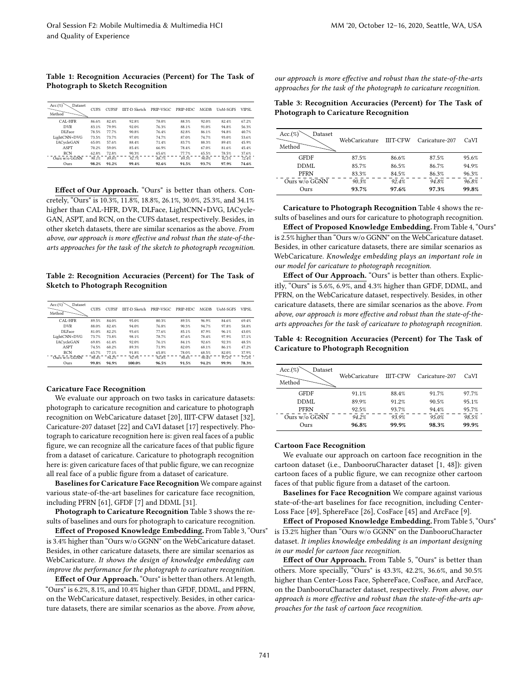Table 1: Recognition Accuracies (Percent) for The Task of Photograph to Sketch Recognition

| $Acc. (\%)$<br>Dataset<br>Method | <b>CUFS</b> | <b>CUESE</b> | <b>IIIT-D Sketch</b> | PRIP-VSGC | PRIP-HDC | <b>MGDB</b> | <b>UoM-SGES</b> | VIPSI. |
|----------------------------------|-------------|--------------|----------------------|-----------|----------|-------------|-----------------|--------|
| CAL-HFR                          | 86.6%       | 82.4%        | 92.8%                | 78.0%     | 88.3%    | 92.0%       | 82.4%           | 67.2%  |
| <b>DVR</b>                       | 83.1%       | 79.9%        | 92.0%                | 76.3%     | 88.1%    | 91.0%       | 94.8%           | 56.3%  |
| DLFace                           | 78.5%       | 77.7%        | 90.8%                | 76.4%     | 82.8%    | 86.1%       | 94.8%           | 40.7%  |
| LightCNN+DVG                     | 73.5%       | 73.7%        | 97.0%                | 74.7%     | 87.0%    | 74.7%       | 93.0%           | 53.6%  |
| <b>IACvcleGAN</b>                | 65.0%       | 57.6%        | 88.4%                | 71.4%     | 83.7%    | 88.3%       | 89.4%           | 45.9%  |
| <b>ASPT</b>                      | 70.2%       | 59.0%        | 85.4%                | 66.9%     | 78.4%    | 67.0%       | 81.6%           | 45.4%  |
| <b>RCN</b>                       | 62.8%       | 72.8%        | 90.3%                | 65.6%     | 77.7%    | 65.5%       | 78.5%           | 37.6%  |
| Ours w/o GGNN                    | 90.1%       | 89.8%        | 92.7%                | 88.7%     | 89.5%    | 90.0%       | 92.5%           | 72.4%  |
| Ours                             | 98.2%       | 91.2%        | 99.4%                | 92.6%     | 91.5%    | 93.7%       | 97.9%           | 74.6%  |

Effect of Our Approach. "Ours" is better than others. Concretely, "Ours" is 10.3%, 11.8%, 18.8%, 26.1%, 30.0%, 25.3%, and 34.1% higher than CAL-HFR, DVR, DLFace, LightCNN+DVG, IACycle-GAN, ASPT, and RCN, on the CUFS dataset, respectively. Besides, in other sketch datasets, there are similar scenarios as the above. From above, our approach is more effective and robust than the state-of-thearts approaches for the task of the sketch to photograph recognition.

Table 2: Recognition Accuracies (Percent) for The Task of Sketch to Photograph Recognition

| Acc.(%)<br>Dataset<br>Method | <b>CUES</b> | <b>CUESE</b> | <b>IIIT-D Sketch</b> | PRIP-VSGC | PRIP-HDC | <b>MGDB</b> | <b>UoM-SGES</b> | VIPSI. |
|------------------------------|-------------|--------------|----------------------|-----------|----------|-------------|-----------------|--------|
| CAL-HFR                      | 89.5%       | 84.0%        | 95.0%                | 80.3%     | 89.5%    | 96.9%       | 84.6%           | 69.4%  |
| <b>DVR</b>                   | 88.0%       | 82.4%        | 94.0%                | 76.8%     | 90.3%    | 94.7%       | 97.8%           | 58.8%  |
| DLFace                       | 81.0%       | 82.2%        | 93.6%                | 77.6%     | 85.1%    | 87.9%       | 96.1%           | 43.0%  |
| LightCNN+DVG                 | 73.7%       | 73.8%        | 98.1%                | 78.7%     | 87.6%    | 78.4%       | 97.9%           | 57.1%  |
| IACycleGAN                   | 69.8%       | 61.4%        | 92.0%                | 76.1%     | 84.1%    | 92.6%       | 92.3%           | 48.5%  |
| <b>ASPT</b>                  | 74.5%       | 60.2%        | 89.3%                | 71.9%     | 82.0%    | 68.1%       | 86.1%           | 47.2%  |
| <b>RCN</b>                   | 65.7%       | 77.1%        | 91.8%                | 65.8%     | 78.0%    | 68.5%       | 82.0%           | 37.9%  |
| Ours w/o GGNN                | 90.4%       | 94.2%        | 92.9%                | 92.8%     | 90.6%    | 90.4%       | 97.2%           | 77.2%  |
| Ours                         | 99.8%       | 94.9%        | 100.0%               | 96.5%     | 91.5%    | 94.2%       | 99.9%           | 78.3%  |

#### Caricature Face Recognition

We evaluate our approach on two tasks in caricature datasets: photograph to caricature recognition and caricature to photograph recognition on WebCaricature dataset [20], IIIT-CFW dataset [32], Caricature-207 dataset [22] and CaVI dataset [17] respectively. Photograph to caricature recognition here is: given real faces of a public figure, we can recognize all the caricature faces of that public figure from a dataset of caricature. Caricature to photograph recognition here is: given caricature faces of that public figure, we can recognize all real face of a public figure from a dataset of caricature.

Baselines for Caricature Face Recognition We compare against various state-of-the-art baselines for caricature face recognition, including PFRN [61], GFDF [7] and DDML [31].

Photograph to Caricature Recognition Table 3 shows the results of baselines and ours for photograph to caricature recognition.

Effect of Proposed Knowledge Embedding. From Table 3, "Ours" is  $3.4\%$  higher than "Ours w/o GGNN" on the WebCaricature dataset. Besides, in other caricature datasets, there are similar scenarios as WebCaricature. It shows the design of knowledge embedding can improve the performance for the photograph to caricature recognition.

Effect of Our Approach. "Ours" is better than others. At length, łOurs" is 6.2%, 8.1%, and 10.4% higher than GFDF, DDML, and PFRN, on the WebCaricature dataset, respectively. Besides, in other caricature datasets, there are similar scenarios as the above. From above,

our approach is more effective and robust than the state-of-the-arts approaches for the task of the photograph to caricature recognition.

Table 3: Recognition Accuracies (Percent) for The Task of Photograph to Caricature Recognition

| Acc.(%)<br>Dataset<br>Method | WebCaricature | <b>IIIT-CFW</b> | Caricature-207 | CaVI  |
|------------------------------|---------------|-----------------|----------------|-------|
| <b>GFDF</b>                  | 87.5%         | 86.6%           | 87.5%          | 95.6% |
| DDML                         | 85.7%         | 86.5%           | 86.7%          | 94.9% |
| <b>PFRN</b>                  | 83.3%         | 84.5%           | 86.3%          | 96.3% |
| Ours w/o GGNN                | 90.3%         | 92.4%           | 94.8%          | 96.8% |
| Ours                         | 93.7%         | 97.6%           | 97.3%          | 99.8% |

Caricature to Photograph Recognition Table 4 shows the results of baselines and ours for caricature to photograph recognition.

Effect of Proposed Knowledge Embedding. From Table 4, "Ours" is  $2.5\%$  higher than "Ours w/o GGNN" on the WebCaricature dataset. Besides, in other caricature datasets, there are similar scenarios as WebCaricature. Knowledge embedding plays an important role in our model for caricature to photograph recognition.

Effect of Our Approach. "Ours" is better than others. Explicitly, "Ours" is 5.6%, 6.9%, and 4.3% higher than GFDF, DDML, and PFRN, on the WebCaricature dataset, respectively. Besides, in other caricature datasets, there are similar scenarios as the above. From above, our approach is more effective and robust than the state-of-thearts approaches for the task of caricature to photograph recognition.

Table 4: Recognition Accuracies (Percent) for The Task of Caricature to Photograph Recognition

| Acc. (%)<br>Dataset<br>Method | WebCaricature | <b>IIIT-CFW</b> | Caricature-207 | CaVI  |
|-------------------------------|---------------|-----------------|----------------|-------|
| <b>GFDF</b>                   | 91.1%         | 88.4%           | 91.7%          | 97.7% |
| DDML                          | 89.9%         | 91.2%           | 90.5%          | 95.1% |
| <b>PFRN</b>                   | 92.5%         | 93.7%           | 94.4%          | 95.7% |
| Ours w/o GGNN                 | 94.2%         | 93.9%           | 95.0%          | 98.5% |
| Ours                          | 96.8%         | 99.9%           | 98.3%          | 99.9% |

#### Cartoon Face Recognition

We evaluate our approach on cartoon face recognition in the cartoon dataset (i.e., DanbooruCharacter dataset [1, 48]): given cartoon faces of a public figure, we can recognize other cartoon faces of that public figure from a dataset of the cartoon.

Baselines for Face Recognition We compare against various state-of-the-art baselines for face recognition, including Center-Loss Face [49], SphereFace [26], CosFace [45] and ArcFace [9].

Effect of Proposed Knowledge Embedding. From Table 5, "Ours" is 13.2% higher than "Ours w/o GGNN" on the DanbooruCharacter dataset. It implies knowledge embedding is an important designing in our model for cartoon face recognition.

Effect of Our Approach. From Table 5, "Ours" is better than others. More specially, "Ours" is 43.3%, 42.2%, 36.6%, and 30.5% higher than Center-Loss Face, SphereFace, CosFace, and ArcFace, on the DanbooruCharacter dataset, respectively. From above, our approach is more effective and robust than the state-of-the-arts approaches for the task of cartoon face recognition.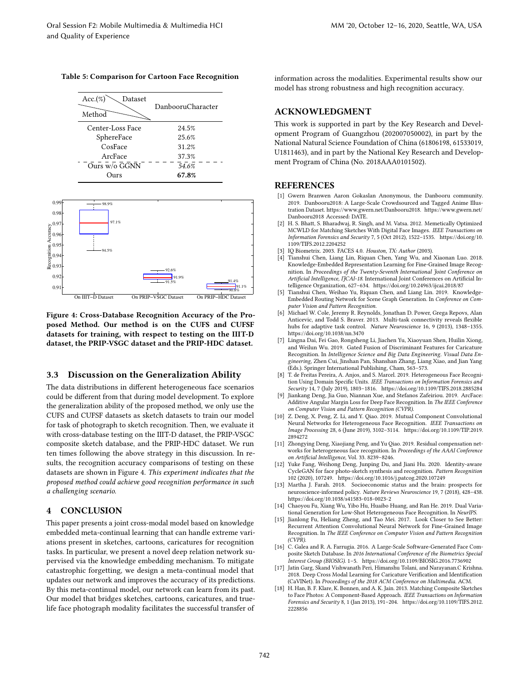#### Table 5: Comparison for Cartoon Face Recognition





Figure 4: Cross-Database Recognition Accuracy of the Proposed Method. Our method is on the CUFS and CUFSF datasets for training, with respect to testing on the IIIT-D dataset, the PRIP-VSGC dataset and the PRIP-HDC dataset.

# 3.3 Discussion on the Generalization Ability

The data distributions in different heterogeneous face scenarios could be different from that during model development. To explore the generalization ability of the proposed method, we only use the CUFS and CUFSF datasets as sketch datasets to train our model for task of photograph to sketch recognition. Then, we evaluate it with cross-database testing on the IIIT-D dataset, the PRIP-VSGC composite sketch database, and the PRIP-HDC dataset. We run ten times following the above strategy in this discussion. In results, the recognition accuracy comparisons of testing on these datasets are shown in Figure 4. This experiment indicates that the proposed method could achieve good recognition performance in such a challenging scenario.

#### 4 CONCLUSION

This paper presents a joint cross-modal model based on knowledge embedded meta-continual learning that can handle extreme variations present in sketches, cartoons, caricatures for recognition tasks. In particular, we present a novel deep relation network supervised via the knowledge embedding mechanism. To mitigate catastrophic forgetting, we design a meta-continual model that updates our network and improves the accuracy of its predictions. By this meta-continual model, our network can learn from its past. Our model that bridges sketches, cartoons, caricatures, and truelife face photograph modality facilitates the successful transfer of information across the modalities. Experimental results show our model has strong robustness and high recognition accuracy.

# ACKNOWLEDGMENT

This work is supported in part by the Key Research and Development Program of Guangzhou (202007050002), in part by the National Natural Science Foundation of China (61806198, 61533019, U1811463), and in part by the National Key Research and Development Program of China (No. 2018AAA0101502).

### REFERENCES

- [1] Gwern Branwen Aaron Gokaslan Anonymous, the Danbooru community. 2019. Danbooru2018: A Large-Scale Crowdsourced and Tagged Anime Illustration Dataset. https://www.gwern.net/Danbooru2018. https://www.gwern.net/ Danbooru2018 Accessed: DATE.
- [2] H. S. Bhatt, S. Bharadwaj, R. Singh, and M. Vatsa. 2012. Memetically Optimized MCWLD for Matching Sketches With Digital Face Images. IEEE Transactions on Information Forensics and Security 7, 5 (Oct 2012), 1522-1535. https://doi.org/10. 1109/TIFS.2012.2204252
- [3] IQ Biometrix. 2003. FACES 4.0. *Houston, TX: Author* (2003). [4] Tianshui Chen. Liang Lin. Riquan Chen. Yang Wu, and
- Tianshui Chen, Liang Lin, Riquan Chen, Yang Wu, and Xiaonan Luo. 2018. Knowledge-Embedded Representation Learning for Fine-Grained Image Recognition. In Proceedings of the Twenty-Seventh International Joint Conference on Artificial Intelligence, ITCAI-18. International Joint Conferences on Artificial Intelligence Organization, 627-634. https://doi.org/10.24963/ijcai.2018/87
- [5] Tianshui Chen, Weihao Yu, Riquan Chen, and Liang Lin. 2019. Knowledge-Embedded Routing Network for Scene Graph Generation. In Conference on Computer Vision and Pattern Recognition.
- [6] Michael W. Cole, Jeremy R. Reynolds, Jonathan D. Power, Grega Repovs, Alan Anticevic, and Todd S. Braver. 2013. Multi-task connectivity reveals flexible hubs for adaptive task control. Nature Neuroscience 16, 9 (2013), 1348-1355. https://doi.org/10.1038/nn.3470
- [7] Lingna Dai, Fei Gao, Rongsheng Li, Jiachen Yu, Xiaoyuan Shen, Huilin Xiong, and Weilun Wu. 2019. Gated Fusion of Discriminant Features for Caricature Recognition. In Intelligence Science and Big Data Engineering. Visual Data Eng*ineering, Zh*en Cui, Jinshan Pan, Shanshan Zhang, Liang Xiao, and Jian Yang<br>(Eds.). Springer International Publishing, Cham, 563–573.
- [8] T. de Freitas Pereira, A. Anjos, and S. Marcel. 2019. Heterogeneous Face Recognition Using Domain Specific Units. IEEE Transactions on Information Forensics and Security 14, 7 (July 2019), 1803-1816. https://doi.org/10.1109/TIFS.2018.2885284
- [9] Jiankang Deng, Jia Guo, Niannan Xue, and Stefanos Zafeiriou. 2019. ArcFace: Additive Angular Margin Loss for Deep Face Recognition. In The IEEE Conference on Computer Vision and Pattern Recognition (CVPR).
- [10] Z. Deng, X. Peng, Z. Li, and Y. Qiao. 2019. Mutual Component Convolutional Neural Networks for Heterogeneous Face Recognition. IEEE Transactions on Image Processing 28, 6 (June 2019), 3102-3114. https://doi.org/10.1109/TIP.2019. 2894272
- [11] Zhongying Deng, Xiaojiang Peng, and Yu Qiao. 2019. Residual compensation networks for heterogeneous face recognition. In Proceedings of the AAAI Conference on Artificial Intelligence, Vol. 33. 8239-8246.
- [12] Yuke Fang, Weihong Deng, Junping Du, and Jiani Hu. 2020. Identity-aware CycleGAN for face photo-sketch synthesis and recognition. Pattern Recognition 102 (2020), 107249. https://doi.org/10.1016/j.patcog.2020.107249
- [13] Martha J. Farah. 2018. Socioeconomic status and the brain: prospects for neuroscience-informed policy. Nature Reviews Neuroscience 19, 7 (2018), 428-438. https://doi.org/10.1038/s41583-018-0023-2
- [14] Chaoyou Fu, Xiang Wu, Yibo Hu, Huaibo Huang, and Ran He. 2019. Dual Variational Generation for Low-Shot Heterogeneous Face Recognition. In NeurIPS.
- [15] Jianlong Fu, Heliang Zheng, and Tao Mei. 2017. Look Closer to See Better: Recurrent Attention Convolutional Neural Network for Fine-Grained Image Recognition. In The IEEE Conference on Computer Vision and Pattern Recognition (CVPR).
- [16] C. Galea and R. A. Farrugia. 2016. A Large-Scale Software-Generated Face Composite Sketch Database. In 2016 International Conference of the Biometrics Special Interest Group (BIOSIG). 1-5. https://doi.org/10.1109/BIOSIG.2016.7736902
- [17] Jatin Garg, Skand Vishwanath Peri, Himanshu Tolani, and Narayanan.C Krishna. 2018. Deep Cross Modal Learning for Caricature Verification and Identification (CaVINet). In Proceedings of the 2018 ACM Conference on Multimedia. ACM.
- [18] H. Han, B. F. Klare, K. Bonnen, and A. K. Jain. 2013. Matching Composite Sketches to Face Photos: A Component-Based Approach. IEEE Transactions on Information Forensics and Security 8, 1 (Jan 2013), 191-204. https://doi.org/10.1109/TIFS.2012. 2228856